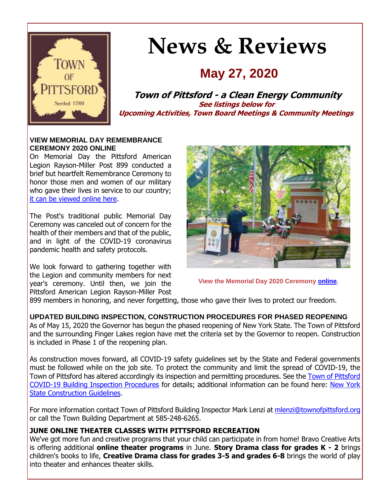

# **News & Reviews**

# **May 27, 2020**

**Town of Pittsford - a Clean Energy Community See listings below for Upcoming Activities, Town Board Meetings & Community Meetings**

#### **VIEW MEMORIAL DAY REMEMBRANCE CEREMONY 2020 ONLINE**

On Memorial Day the Pittsford American Legion Rayson-Miller Post 899 conducted a brief but heartfelt Remembrance Ceremony to honor those men and women of our military who gave their lives in service to our country; [it can be viewed online here.](http://r20.rs6.net/tn.jsp?f=001DUJ6FRwjb_xmG3qfCp_26UFWkd5gdcAbqqizPuy0SAo_8GaUxzMz_7liyROA7iqJXQKAUlM1JAEU36rRJbkHfNU39uZYcksSowg0Q-gCyATAAOnOVk_U5Cc8sEPmW756vTiOkol21omOZmwrcRXYWbyJNRMzQkDMQ5MGvlxsq25-CEjGvUlIbkD4WqlRVle26AMwp-TOvpwBc_p9JY7Gmfx-gv-P20U7j9dn5o5RJa7iDt0Wo93tZEFSFLUwcLBHKh2Jc2JN4RU5UwqqUJwTA4q7hdRc5eEYe1sgpG_zaPDfBcGeRVaLpeKRyaYLPYl_gF7XJP7mB7J_HeJ25HKtfTplRlRSflmQcP7N2ysejIpZKUDSEVXJ4Mab1XpkjGhu_w0ZGWpwZ9A=&c=_H1qwIhdXQC5RrJg5n8OdNMQUeaOPWrULgHMODoVqipE9Z9RRj9MBg==&ch=Qu9bNSkB8DQ8A1FvkyIIgMtAp9r9ofRCi15nif3-IizkMAk12nlsiQ==)

The Post's traditional public Memorial Day Ceremony was canceled out of concern for the health of their members and that of the public, and in light of the COVID-19 coronavirus pandemic health and safety protocols.

We look forward to gathering together with the Legion and community members for next year's ceremony. Until then, we join the Pittsford American Legion Rayson-Miller Post



**View the Memorial Day 2020 Ceremony [online.](http://r20.rs6.net/tn.jsp?f=001DUJ6FRwjb_xmG3qfCp_26UFWkd5gdcAbqqizPuy0SAo_8GaUxzMz_7liyROA7iqJXQKAUlM1JAEU36rRJbkHfNU39uZYcksSowg0Q-gCyATAAOnOVk_U5Cc8sEPmW756vTiOkol21omOZmwrcRXYWbyJNRMzQkDMQ5MGvlxsq25-CEjGvUlIbkD4WqlRVle26AMwp-TOvpwBc_p9JY7Gmfx-gv-P20U7j9dn5o5RJa7iDt0Wo93tZEFSFLUwcLBHKh2Jc2JN4RU5UwqqUJwTA4q7hdRc5eEYe1sgpG_zaPDfBcGeRVaLpeKRyaYLPYl_gF7XJP7mB7J_HeJ25HKtfTplRlRSflmQcP7N2ysejIpZKUDSEVXJ4Mab1XpkjGhu_w0ZGWpwZ9A=&c=_H1qwIhdXQC5RrJg5n8OdNMQUeaOPWrULgHMODoVqipE9Z9RRj9MBg==&ch=Qu9bNSkB8DQ8A1FvkyIIgMtAp9r9ofRCi15nif3-IizkMAk12nlsiQ==)**

899 members in honoring, and never forgetting, those who gave their lives to protect our freedom.

**UPDATED BUILDING INSPECTION, CONSTRUCTION PROCEDURES FOR PHASED REOPENING** As of May 15, 2020 the Governor has begun the phased reopening of New York State. The Town of Pittsford and the surrounding Finger Lakes region have met the criteria set by the Governor to reopen. Construction is included in Phase 1 of the reopening plan.

As construction moves forward, all COVID-19 safety guidelines set by the State and Federal governments must be followed while on the job site. To protect the community and limit the spread of COVID-19, the Town of Pittsford has altered accordingly its inspection and permitting procedures. See the [Town of Pittsford](http://r20.rs6.net/tn.jsp?f=001DUJ6FRwjb_xmG3qfCp_26UFWkd5gdcAbqqizPuy0SAo_8GaUxzMz_7liyROA7iqJVYHwgX2JIpz7QdqX94q6dsHNBbxVCGorUdl-XMWyMzSPnWZEmyM6rJ5BWUVsfSWf9eyOLWlKbngy2fJwc04vO5s5ghP1_AfbskEnWZm12g6jNwv_wwsThFjTb5l5W_gH08H4TsGnhWENk6K2VADJywquZSt78hI5mzONqnK417bcDZ_WPdKBa1nIBWzwWCrtmmMyWojrosEYOeuqQlbLkjIrfHp6taRmNw7cLhfwqHB1t8-hvJ85ZPZ_Icm9LxN0A3_uzvk08o9bM0W_0Kdq_NvgzHQCvuWQU3w8yM33PvTulE7DcUA6JUwuSEcyHXFQt9QoGdcCJcVN37vFFMERDVj07ycZroyc&c=_H1qwIhdXQC5RrJg5n8OdNMQUeaOPWrULgHMODoVqipE9Z9RRj9MBg==&ch=Qu9bNSkB8DQ8A1FvkyIIgMtAp9r9ofRCi15nif3-IizkMAk12nlsiQ==)  [COVID-19 Building Inspection Procedures](http://r20.rs6.net/tn.jsp?f=001DUJ6FRwjb_xmG3qfCp_26UFWkd5gdcAbqqizPuy0SAo_8GaUxzMz_7liyROA7iqJVYHwgX2JIpz7QdqX94q6dsHNBbxVCGorUdl-XMWyMzSPnWZEmyM6rJ5BWUVsfSWf9eyOLWlKbngy2fJwc04vO5s5ghP1_AfbskEnWZm12g6jNwv_wwsThFjTb5l5W_gH08H4TsGnhWENk6K2VADJywquZSt78hI5mzONqnK417bcDZ_WPdKBa1nIBWzwWCrtmmMyWojrosEYOeuqQlbLkjIrfHp6taRmNw7cLhfwqHB1t8-hvJ85ZPZ_Icm9LxN0A3_uzvk08o9bM0W_0Kdq_NvgzHQCvuWQU3w8yM33PvTulE7DcUA6JUwuSEcyHXFQt9QoGdcCJcVN37vFFMERDVj07ycZroyc&c=_H1qwIhdXQC5RrJg5n8OdNMQUeaOPWrULgHMODoVqipE9Z9RRj9MBg==&ch=Qu9bNSkB8DQ8A1FvkyIIgMtAp9r9ofRCi15nif3-IizkMAk12nlsiQ==) for details; additional information can be found here: [New York](http://r20.rs6.net/tn.jsp?f=001DUJ6FRwjb_xmG3qfCp_26UFWkd5gdcAbqqizPuy0SAo_8GaUxzMz_7liyROA7iqJLZxsKVtibseA4F8GbNv_v8FCy7I7tT3ltfmHr4g81W-1bbF7tFVbeQG6OimT8Pklj3Gjv3gRrXm8g9Tla270khkAR0FHm3zuecArlWINvSBphnRd20qaL1MhSgi6YpnaMle8ZXD7YcUVTquMHJua1p0viqFUdmSgEfHuQ-PLo3qEx6bdg9RlF0hwown20B1gzX8HM2_E6D8FLdu-0AZJcvIE35qtNWz8CwC8yYciA90VXB5mUzRUxq7XwanoRS0bRMFvO7ZChLJ64Wp5Cwn6yWTK5GGfCtmZvw1SZ7ZEFE4vbMTnuVBKrQYSL222OF7Z-ciDZi74dIP-ktb0stdkqA==&c=_H1qwIhdXQC5RrJg5n8OdNMQUeaOPWrULgHMODoVqipE9Z9RRj9MBg==&ch=Qu9bNSkB8DQ8A1FvkyIIgMtAp9r9ofRCi15nif3-IizkMAk12nlsiQ==)  [State Construction Guidelines.](http://r20.rs6.net/tn.jsp?f=001DUJ6FRwjb_xmG3qfCp_26UFWkd5gdcAbqqizPuy0SAo_8GaUxzMz_7liyROA7iqJLZxsKVtibseA4F8GbNv_v8FCy7I7tT3ltfmHr4g81W-1bbF7tFVbeQG6OimT8Pklj3Gjv3gRrXm8g9Tla270khkAR0FHm3zuecArlWINvSBphnRd20qaL1MhSgi6YpnaMle8ZXD7YcUVTquMHJua1p0viqFUdmSgEfHuQ-PLo3qEx6bdg9RlF0hwown20B1gzX8HM2_E6D8FLdu-0AZJcvIE35qtNWz8CwC8yYciA90VXB5mUzRUxq7XwanoRS0bRMFvO7ZChLJ64Wp5Cwn6yWTK5GGfCtmZvw1SZ7ZEFE4vbMTnuVBKrQYSL222OF7Z-ciDZi74dIP-ktb0stdkqA==&c=_H1qwIhdXQC5RrJg5n8OdNMQUeaOPWrULgHMODoVqipE9Z9RRj9MBg==&ch=Qu9bNSkB8DQ8A1FvkyIIgMtAp9r9ofRCi15nif3-IizkMAk12nlsiQ==)

For more information contact Town of Pittsford Building Inspector Mark Lenzi at [mlenzi@townofpittsford.org](mailto:mlenzi@townofpittsford.org?subject=Building%20Construction%20and%20Inspection%20Information) or call the Town Building Department at 585-248-6265.

#### **JUNE ONLINE THEATER CLASSES WITH PITTSFORD RECREATION**

We've got more fun and creative programs that your child can participate in from home! Bravo Creative Arts is offering additional **online theater programs** in June. **Story Drama class for grades K - 2** brings children's books to life, **Creative Drama class for grades 3-5 and grades 6-8** brings the world of play into theater and enhances theater skills.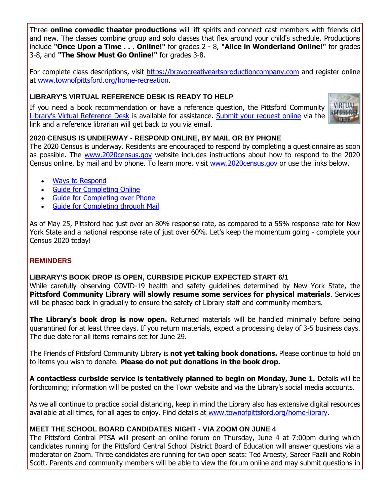Three **online comedic theater productions** will lift spirits and connect cast members with friends old and new. The classes combine group and solo classes that flex around your child's schedule. Productions include **"Once Upon a Time . . . Online!"** for grades 2 - 8, **"Alice in Wonderland Online!"** for grades 3-8, and **"The Show Must Go Online!"** for grades 3-8.

For complete class descriptions, visit [https://bravocreativeartsproductioncompany.com](http://r20.rs6.net/tn.jsp?f=001DUJ6FRwjb_xmG3qfCp_26UFWkd5gdcAbqqizPuy0SAo_8GaUxzMz_7liyROA7iqJYUkvHKJhTQQtNHUCvsVTZsZU96QUN8z3mVORT0--KaPLhNKCsVD3sVowdH8bo1QHhJyMuw9OJS3ZK-WpAhPEZJT9uUFyvjNz7t2IEoCCsMuIcnnIXRtUlY-zkVI7mk1t4CzJzv-NfRG-2w2Pro-uJhz0dXvgLwyVB6z3U3z5I3UqWl2rD8aBSyFVAm6PiyhfJPHziPvrhkXiwxTOHFX118GpEt1JAkQNNxb60Z1cCfFRmJ4Bis4EDV9zrGuW0XIX&c=_H1qwIhdXQC5RrJg5n8OdNMQUeaOPWrULgHMODoVqipE9Z9RRj9MBg==&ch=Qu9bNSkB8DQ8A1FvkyIIgMtAp9r9ofRCi15nif3-IizkMAk12nlsiQ==) and register online at [www.townofpittsford.org/home-recreation.](http://r20.rs6.net/tn.jsp?f=001DUJ6FRwjb_xmG3qfCp_26UFWkd5gdcAbqqizPuy0SAo_8GaUxzMz_6gpzlMgoasb3u5yE2hrhXmxcxCSVHGn8Tam6EZicHOV5Smr84ZOevwcXKwYj4_FFWnO9DzA8pdiJFxt09rs6tTQG8AOAzbzPOY98fIj65m_jN9fF0ZjS54q5GW8StysvtxkEjA7LAUpiMizN4MlFQ_OcGVYFDSKR-wtKCHXVF6IjifFuwpKqJ7S6pp8rsnDOZaqQbTSg3jpEz-PI4aAYCPIvkOt9CagnVOIovylaKYG5CMGE4fE8OFsKcvp51OHktZSZ9WnS9Gm&c=_H1qwIhdXQC5RrJg5n8OdNMQUeaOPWrULgHMODoVqipE9Z9RRj9MBg==&ch=Qu9bNSkB8DQ8A1FvkyIIgMtAp9r9ofRCi15nif3-IizkMAk12nlsiQ==)

#### **LIBRARY'S VIRTUAL REFERENCE DESK IS READY TO HELP**

If you need a book recommendation or have a reference question, the Pittsford Community [Library's Virtual Reference Desk](http://r20.rs6.net/tn.jsp?f=001DUJ6FRwjb_xmG3qfCp_26UFWkd5gdcAbqqizPuy0SAo_8GaUxzMz_86GzBi45InpRKJ8r5oFQKt85BToCEElagaO511eAQqT_P_I-cCgX1UvVWRMry4xRz0FA_VUEqRtSIIWmSjCWppIx3dxLkxFxbdeONkUxrNu7UONb5mpAvXIMDU_rNeXFQ5Y3FOXVca3LMm1htezs2FM7TD0Um2Xyy6MUkNwms6EYVvnJUYmzVAeFnuAvcMtHmF_Xzlc8UgSxzomSlqtxGBOdhrmoikF-bYS0A49WSaia8tuKMi3K8j2xbWHHMmo_llpRzkV2VZxBg2el4hsd6pY9JZGmuThN4zuGpeQNVlGSXvAev2tuZW1-XZH8xtyetFesy76dFsDeiHUVhFHzn89COqiJBOHPA==&c=_H1qwIhdXQC5RrJg5n8OdNMQUeaOPWrULgHMODoVqipE9Z9RRj9MBg==&ch=Qu9bNSkB8DQ8A1FvkyIIgMtAp9r9ofRCi15nif3-IizkMAk12nlsiQ==) is available for assistance. [Submit your request online](http://r20.rs6.net/tn.jsp?f=001DUJ6FRwjb_xmG3qfCp_26UFWkd5gdcAbqqizPuy0SAo_8GaUxzMz_86GzBi45InpRKJ8r5oFQKt85BToCEElagaO511eAQqT_P_I-cCgX1UvVWRMry4xRz0FA_VUEqRtSIIWmSjCWppIx3dxLkxFxbdeONkUxrNu7UONb5mpAvXIMDU_rNeXFQ5Y3FOXVca3LMm1htezs2FM7TD0Um2Xyy6MUkNwms6EYVvnJUYmzVAeFnuAvcMtHmF_Xzlc8UgSxzomSlqtxGBOdhrmoikF-bYS0A49WSaia8tuKMi3K8j2xbWHHMmo_llpRzkV2VZxBg2el4hsd6pY9JZGmuThN4zuGpeQNVlGSXvAev2tuZW1-XZH8xtyetFesy76dFsDeiHUVhFHzn89COqiJBOHPA==&c=_H1qwIhdXQC5RrJg5n8OdNMQUeaOPWrULgHMODoVqipE9Z9RRj9MBg==&ch=Qu9bNSkB8DQ8A1FvkyIIgMtAp9r9ofRCi15nif3-IizkMAk12nlsiQ==) via the link and a reference librarian will get back to you via email.



#### **2020 CENSUS IS UNDERWAY - RESPOND ONLINE, BY MAIL OR BY PHONE**

The 2020 Census is underway. Residents are encouraged to respond by completing a questionnaire as soon as possible. The [www.2020census.gov](http://r20.rs6.net/tn.jsp?f=001DUJ6FRwjb_xmG3qfCp_26UFWkd5gdcAbqqizPuy0SAo_8GaUxzMz_-kxThhHRGcFIJSMLYkxbyv9-qdwUm5amdrLKW0T1PZZuh9tsrEyaUanPoIVcXcL-LvXZJLkXIN4PmVziiy40OCCtkYQVpLbbrj0A5lTZWfulbbcDBHOWKKTAvciSMsXvSdSwAR1Z5q4txX41e22CUVIlywT87KpDkfiumrIhnuvCKpC01lYr92BUkGzhfWVUpiLef08Uq7yu6KB9huq9of__WrXQB-8Gb_X9B1cQciT&c=_H1qwIhdXQC5RrJg5n8OdNMQUeaOPWrULgHMODoVqipE9Z9RRj9MBg==&ch=Qu9bNSkB8DQ8A1FvkyIIgMtAp9r9ofRCi15nif3-IizkMAk12nlsiQ==) website includes instructions about how to respond to the 2020 Census online, by mail and by phone. To learn more, visit [www.2020census.gov](http://r20.rs6.net/tn.jsp?f=001DUJ6FRwjb_xmG3qfCp_26UFWkd5gdcAbqqizPuy0SAo_8GaUxzMz_-kxThhHRGcFIJSMLYkxbyv9-qdwUm5amdrLKW0T1PZZuh9tsrEyaUanPoIVcXcL-LvXZJLkXIN4PmVziiy40OCCtkYQVpLbbrj0A5lTZWfulbbcDBHOWKKTAvciSMsXvSdSwAR1Z5q4txX41e22CUVIlywT87KpDkfiumrIhnuvCKpC01lYr92BUkGzhfWVUpiLef08Uq7yu6KB9huq9of__WrXQB-8Gb_X9B1cQciT&c=_H1qwIhdXQC5RrJg5n8OdNMQUeaOPWrULgHMODoVqipE9Z9RRj9MBg==&ch=Qu9bNSkB8DQ8A1FvkyIIgMtAp9r9ofRCi15nif3-IizkMAk12nlsiQ==) or use the links below.

- [Ways to Respond](http://r20.rs6.net/tn.jsp?f=001DUJ6FRwjb_xmG3qfCp_26UFWkd5gdcAbqqizPuy0SAo_8GaUxzMz_-kxThhHRGcFy1zOsbHfoCF5KsxzTZuSmuiwgtorEWeWvuhzAakqagwO3ikrHXCgUQc4Ouxsfpits6XPhassKTTo05hD59eqZE2P9K3CFlRx6cn-3A3vtEe8h4_MWkcqs-U1Ep44pnQWKWl2mjYRvSlmbD70-dzDL3XjBLII1tYmwjYdvGIrJMMgzFwZ-bzA1-53vgtdwuTcAjEKZdy8SEtVVccgUsZ28ohS04fH4j1-Q-QhdychqGoeE2b7clWRHx6MUdhklrop&c=_H1qwIhdXQC5RrJg5n8OdNMQUeaOPWrULgHMODoVqipE9Z9RRj9MBg==&ch=Qu9bNSkB8DQ8A1FvkyIIgMtAp9r9ofRCi15nif3-IizkMAk12nlsiQ==)
- [Guide for Completing Online](http://r20.rs6.net/tn.jsp?f=001DUJ6FRwjb_xmG3qfCp_26UFWkd5gdcAbqqizPuy0SAo_8GaUxzMz_-kxThhHRGcFEiGcAiPxIlw2OOXmaeu68gHKgEybKCrBX-kUaCIg-BSt4sYUDOgoXdL4dV5DCZcRUp51OY0IzGrtGYLUNcTV7Mh7A2y8f4FOWjfKLmzGqly8DSodwB2v00N0Tv17pNlWOmQHqxTnE1b-N_fZyn4d3fZXU6xdNGStIQ6ZfM0fROho74GISAj3tgUIWEQjQNqke5nYcXMXdbar-1gO57nZVYdjZkeVEQ5Z9tA61s6BKKohJrlSyJTqClciEbpENfGIV8VsrQGgdwptzl7-QuAqugEYhh2Oe4Od&c=_H1qwIhdXQC5RrJg5n8OdNMQUeaOPWrULgHMODoVqipE9Z9RRj9MBg==&ch=Qu9bNSkB8DQ8A1FvkyIIgMtAp9r9ofRCi15nif3-IizkMAk12nlsiQ==)
- [Guide for Completing over Phone](http://r20.rs6.net/tn.jsp?f=001DUJ6FRwjb_xmG3qfCp_26UFWkd5gdcAbqqizPuy0SAo_8GaUxzMz_-kxThhHRGcF7t9qkohcrQNfcfSUfkKWA5OyrSG7eTG0pTjp72QWviAE44pRhubdcJM3zm-cJYGoEN4GpZR7sN-kdEfEotJ6K-B416aGq7Lwcq_Hw6fwZuUMB-H5qeUMxhxHb21AlG5oIl62kLHRNy1IHjxYRB2S8PVVavzbsn6DjP4Jl4p7j-rZebmiUC_anx1u-Ukv9pLjxUovcBTrNy58VniF2TvhTt96F3DEKn90nS-g4-7bPCA8BFMs5Pnj3QxwfpTKf9usJt0o0RtR7chT7QnNhfrkBS5j-qTahjgJ&c=_H1qwIhdXQC5RrJg5n8OdNMQUeaOPWrULgHMODoVqipE9Z9RRj9MBg==&ch=Qu9bNSkB8DQ8A1FvkyIIgMtAp9r9ofRCi15nif3-IizkMAk12nlsiQ==)
- [Guide for Completing through Mail](http://r20.rs6.net/tn.jsp?f=001DUJ6FRwjb_xmG3qfCp_26UFWkd5gdcAbqqizPuy0SAo_8GaUxzMz_-kxThhHRGcFyqKpOrTLrh-98rxvdcQPYO8WufcC7uCPKTBOt_la8C6HvQ9qO9MaQ-jqqFkQJrP8QnpOIyhI3YfD42UCx4axE_4yqF-hdkPlWwa7QdelWxe0toY_7twu7IfzCnl2CcdhO16_slP31suOi1jtUPJInaSDU8AhQhhu26kavcyzh-dOj8T4qjCyY4kk2UoFvxU3GKViHho3P_KwRsVJbAWk8Erxp0MP_U1Y8JwHDTHo6ntnhrSH9CBOFiQAsXoET280WddFmtLKK50BNXNA3h40kweBoss-Orft&c=_H1qwIhdXQC5RrJg5n8OdNMQUeaOPWrULgHMODoVqipE9Z9RRj9MBg==&ch=Qu9bNSkB8DQ8A1FvkyIIgMtAp9r9ofRCi15nif3-IizkMAk12nlsiQ==)

As of May 25, Pittsford had just over an 80% response rate, as compared to a 55% response rate for New York State and a national response rate of just over 60%. Let's keep the momentum going - complete your Census 2020 today!

#### **REMINDERS**

#### **LIBRARY'S BOOK DROP IS OPEN, CURBSIDE PICKUP EXPECTED START 6/1**

While carefully observing COVID-19 health and safety guidelines determined by New York State, the **Pittsford Community Library will slowly resume some services for physical materials**. Services will be phased back in gradually to ensure the safety of Library staff and community members.

**The Library's book drop is now open.** Returned materials will be handled minimally before being quarantined for at least three days. If you return materials, expect a processing delay of 3-5 business days. The due date for all items remains set for June 29.

The Friends of Pittsford Community Library is **not yet taking book donations.** Please continue to hold on to items you wish to donate. **Please do not put donations in the book drop.**

**A contactless curbside service is tentatively planned to begin on Monday, June 1.** Details will be forthcoming; information will be posted on the Town website and via the Library's social media accounts.

As we all continue to practice social distancing, keep in mind the Library also has extensive digital resources available at all times, for all ages to enjoy. Find details at [www.townofpittsford.org/home-library.](http://r20.rs6.net/tn.jsp?f=001DUJ6FRwjb_xmG3qfCp_26UFWkd5gdcAbqqizPuy0SAo_8GaUxzMz_21Y7-trReFL7rHuVFaMyHDNxJexw7ESqMufw9G4-BDYkr-NByIPnjDlLwnefzHSvIzmeOGLo6yN7dqJMW5Fj8knQJL33ZPOXLWy2n5cQJdxZTb9Hhp0nhkxW2O1uar1YplC4tC431o8-DD561-DUmZS7tzAtr4XUQMoyerIrsVUMhHFfrOx0c7cDkKPL-3tCoAMrog6RyXRNQEyOqbHW42eNd0wrASztO_4vGB1TdM_OqHYd-33sdmpgja_IC_MzA==&c=_H1qwIhdXQC5RrJg5n8OdNMQUeaOPWrULgHMODoVqipE9Z9RRj9MBg==&ch=Qu9bNSkB8DQ8A1FvkyIIgMtAp9r9ofRCi15nif3-IizkMAk12nlsiQ==)

#### **MEET THE SCHOOL BOARD CANDIDATES NIGHT - VIA ZOOM ON JUNE 4**

The Pittsford Central PTSA will present an online forum on Thursday, June 4 at 7:00pm during which candidates running for the Pittsford Central School District Board of Education will answer questions via a moderator on Zoom. Three candidates are running for two open seats: Ted Aroesty, Sareer Fazili and Robin Scott. Parents and community members will be able to view the forum online and may submit questions in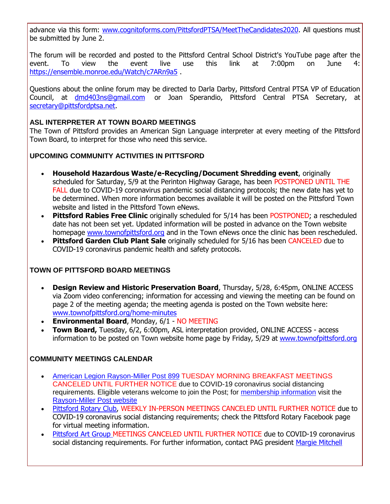advance via this form: [www.cognitoforms.com/PittsfordPTSA/MeetTheCandidates2020.](http://r20.rs6.net/tn.jsp?f=001DUJ6FRwjb_xmG3qfCp_26UFWkd5gdcAbqqizPuy0SAo_8GaUxzMz_6D228DfqD-bXXNeGncYi6kcF1fH1nCAUCH-I_-r5Owh1E9e3KcULuJQ5zgsWeX3C8wHgWbh44ZHy_-P_uemcH9BEZhMASbuta2zrK0PezMYa9bu3bJ88KRcRgLYA4tLLzjirVFRrH1N2mbYj5KM0MqNyHwRXQ6uc3QSjl34iaHjQA-rRiJ0f_d1yyxkGBEKa8tunqKR0Yl5ZDvpxykcjjtH_ywa1ZMqXuZHq09ZI0WGlX7fq4xvr2EIzIiVGrWI-KBiBSQK24UyzwuON_4vAkxHVvXR76htXw==&c=_H1qwIhdXQC5RrJg5n8OdNMQUeaOPWrULgHMODoVqipE9Z9RRj9MBg==&ch=Qu9bNSkB8DQ8A1FvkyIIgMtAp9r9ofRCi15nif3-IizkMAk12nlsiQ==) All questions must be submitted by June 2.

The forum will be recorded and posted to the Pittsford Central School District's YouTube page after the event. To view the event live use this link at 7:00pm on June 4: [https://ensemble.monroe.edu/Watch/c7ARn9a5](http://r20.rs6.net/tn.jsp?f=001DUJ6FRwjb_xmG3qfCp_26UFWkd5gdcAbqqizPuy0SAo_8GaUxzMz_6D228DfqD-bLcv9EcnaHixgC2GpMjD9DzemUWBCgytsz05zNHu1It22aichUDWl6Q0wuuPafXwTaCf6AnkEqRgSnEduDqQwvZDJpS-Bp7oy_OzLvLKv40YuyJF0D12pozI-X_LtMtEG6DxVdzF520j-r9CwbzIIYaUv73UvJyA25tCKuQPKrp8JSxI4yj1mOJ5SWxVxeTyrhCHZzvDXwZy23jXayeQWJ_woxPTYU-_unYcCTDurduR6WcG-i0wwpKQKfAaw4y1E&c=_H1qwIhdXQC5RrJg5n8OdNMQUeaOPWrULgHMODoVqipE9Z9RRj9MBg==&ch=Qu9bNSkB8DQ8A1FvkyIIgMtAp9r9ofRCi15nif3-IizkMAk12nlsiQ==) .

Questions about the online forum may be directed to Darla Darby, Pittsford Central PTSA VP of Education Council, at [dmd403ns@gmail.com](mailto:dmd403ns@gmail.com) or Joan Sperandio, Pittsford Central PTSA Secretary, at [secretary@pittsfordptsa.net.](mailto:secretary@pittsfordptsa.net)

#### **ASL INTERPRETER AT TOWN BOARD MEETINGS**

The Town of Pittsford provides an American Sign Language interpreter at every meeting of the Pittsford Town Board, to interpret for those who need this service.

#### **UPCOMING COMMUNITY ACTIVITIES IN PITTSFORD**

- **Household Hazardous Waste/e-Recycling/Document Shredding event**, originally scheduled for Saturday, 5/9 at the Perinton Highway Garage, has been POSTPONED UNTIL THE FALL due to COVID-19 coronavirus pandemic social distancing protocols; the new date has yet to be determined. When more information becomes available it will be posted on the Pittsford Town website and listed in the Pittsford Town eNews.
- **Pittsford Rabies Free Clinic** originally scheduled for 5/14 has been POSTPONED; a rescheduled date has not been set yet. Updated information will be posted in advance on the Town website homepage [www.townofpittsford.org](http://www.townofpittsford.org/) and in the Town eNews once the clinic has been rescheduled.
- **Pittsford Garden Club Plant Sale** originally scheduled for 5/16 has been CANCELED due to COVID-19 coronavirus pandemic health and safety protocols.

#### **TOWN OF PITTSFORD BOARD MEETINGS**

- **Design Review and Historic Preservation Board**, Thursday, 5/28, 6:45pm, ONLINE ACCESS via Zoom video conferencing; information for accessing and viewing the meeting can be found on page 2 of the meeting agenda; the meeting agenda is posted on the Town website here: [www.townofpittsford.org/home-minutes](http://r20.rs6.net/tn.jsp?f=001DUJ6FRwjb_xmG3qfCp_26UFWkd5gdcAbqqizPuy0SAo_8GaUxzMz_1t2z9VT0S0jQ6GYnKAXunRig2DMJANmfe2MYyDo_7LsrjfD55Q-G-0nqGcw65R7ohqxu3xFQVU0L4SAArc7cqwtqx8n1BD8W7DX4fJpjD6owAFDdBJb8hmHTv3JUruYXyA1Pb5RkxCzMMxcxobRErPNjlGAj0YxotfY9M8MhVRmcmqFKVkTxagJwznK-bZQxct-rjmg4q8Z1Y35iI4l3yVHSP2jGK5AxD__Q2ooYr1CR_fv6JOztwpOc-pbjmdkRg==&c=_H1qwIhdXQC5RrJg5n8OdNMQUeaOPWrULgHMODoVqipE9Z9RRj9MBg==&ch=Qu9bNSkB8DQ8A1FvkyIIgMtAp9r9ofRCi15nif3-IizkMAk12nlsiQ==)
- **Environmental Board**, Monday, 6/1 NO MEETING
- **Town Board,** Tuesday, 6/2, 6:00pm, ASL interpretation provided, ONLINE ACCESS access information to be posted on Town website home page by Friday, 5/29 at [www.townofpittsford.org](http://www.townofpittsford.org/)

#### **COMMUNITY MEETINGS CALENDAR**

- [American Legion Rayson-Miller Post 899](http://r20.rs6.net/tn.jsp?f=001DUJ6FRwjb_xmG3qfCp_26UFWkd5gdcAbqqizPuy0SAo_8GaUxzMz_7UptHExY6W6evBF8GhlkQsk6KLJtg1tH2lLQGPNbkmQsLSbirEDZ_rhiTbWAsJsYBkQnogM8N4rB1xMP9PesOTJCe347lxBYOjPhRF26SXQf1XyfTv_zn2BlDle69lyzTOS8OUfzdOMX-0LnhVW3sZuFD0zfYwA-z3z-_KwppugTev8PPgQFewIfgFaED7pwIaSdI9rQyguwCpz5oBJ496F0-VwNTJfeN3hs66TP5ral2XcLXJ4WkN_yZb3_n0RpA==&c=_H1qwIhdXQC5RrJg5n8OdNMQUeaOPWrULgHMODoVqipE9Z9RRj9MBg==&ch=Qu9bNSkB8DQ8A1FvkyIIgMtAp9r9ofRCi15nif3-IizkMAk12nlsiQ==) TUESDAY MORNING BREAKFAST MEETINGS CANCELED UNTIL FURTHER NOTICE due to COVID-19 coronavirus social distancing requirements. Eligible veterans welcome to join the Post; for [membership information](http://r20.rs6.net/tn.jsp?f=001DUJ6FRwjb_xmG3qfCp_26UFWkd5gdcAbqqizPuy0SAo_8GaUxzMz_7UptHExY6W6NZ2WSMTZy1cv7tR4qqMT1rxwaMR7o1f35BJcvese8zVcR0U6H7pXk8B1oHQTwAGnv5Gm-Vn3VXysmmWHc1E_UGA92xZvhAJ4rT1eW1C9q8YaDPUpyeUm7DrzdgWa67c1C2phZ7M-KjMFKf6HZzPKuObnficTPuj-cIC_UVhtpuYDWfQjskJ9Fqi_V85aaMu4JX_oG4sknICiKZwq2LiByEklZgFm_ChUt3UUItmgEHPA9Y3H0ec56j6l5ptLy0ftMwBFjAPT-Xs=&c=_H1qwIhdXQC5RrJg5n8OdNMQUeaOPWrULgHMODoVqipE9Z9RRj9MBg==&ch=Qu9bNSkB8DQ8A1FvkyIIgMtAp9r9ofRCi15nif3-IizkMAk12nlsiQ==) visit the [Rayson-Miller Post website](http://r20.rs6.net/tn.jsp?f=001DUJ6FRwjb_xmG3qfCp_26UFWkd5gdcAbqqizPuy0SAo_8GaUxzMz_0ryEusHT3vTTp7J7Tg3doZOkydbylsZcM7FNnNL_MBup83IeHQLB_ry8auTf0sdRKV5nXr3BKcP13VSi2I8oVKwztZ6osv48eMQPo0H3IxzY0gM51FrR3VrePQXxZxvFiSuRUjaP6boXVYvem942gsPhvBuBo9Ec4lPRIJn55Nk7OvJ8NWg4U3vXdNl4BT97Dfu8lpeQvLFzO-3PIcwxBhvwXS8rtYSOAS6IFsa99AGWAno_QDDLQnjREd8slrZjcmMZIIHLM-fSouZVq0yd_-zbHjUgJJvufOLgx6n6an_MH4jP9skroMjLnB45IB8K4LrSfB91G6OMhMV7WGhRCE=&c=_H1qwIhdXQC5RrJg5n8OdNMQUeaOPWrULgHMODoVqipE9Z9RRj9MBg==&ch=Qu9bNSkB8DQ8A1FvkyIIgMtAp9r9ofRCi15nif3-IizkMAk12nlsiQ==)
- [Pittsford Rotary Club,](http://r20.rs6.net/tn.jsp?f=001DUJ6FRwjb_xmG3qfCp_26UFWkd5gdcAbqqizPuy0SAo_8GaUxzMz_1t2z9VT0S0jeE-Y2FOuVilgxWAcjm_c7xFhS_msBpZqisDUUWr91tZ36QNamq4rvWI6yDnHyflpQg1tdgy4Rf_5qYqjlfgtUthfvox-sJYilg4qFUdMoobQsnvV1ArM8RM4qBnNrhcLqF2s_O25RCrTPtQceMpwIMzu40c5_va07P7onS7NoKQBBQ1xnE_AXvx9iUSDD9uKLQ4wb4eTkKzAlEHV3cB9L8jZ3fL9-lFyRVe6SiZ0cr8=&c=_H1qwIhdXQC5RrJg5n8OdNMQUeaOPWrULgHMODoVqipE9Z9RRj9MBg==&ch=Qu9bNSkB8DQ8A1FvkyIIgMtAp9r9ofRCi15nif3-IizkMAk12nlsiQ==) WEEKLY IN-PERSON MEETINGS CANCELED UNTIL FURTHER NOTICE due to COVID-19 coronavirus social distancing requirements; check the Pittsford Rotary Facebook page for virtual meeting information.
- [Pittsford Art Group M](https://pittsfordartgroup.wordpress.com/?utm_source=eNews+5-27-20&utm_campaign=eNews+05-27-20&utm_medium=email)EETINGS CANCELED UNTIL FURTHER NOTICE due to COVID-19 coronavirus social distancing requirements. For further information, contact PAG president [Margie Mitchell](mailto:mhsmitchell@gmail.com?subject=Pittsford%20Art%20Group%20Meetings%20and%20Membership)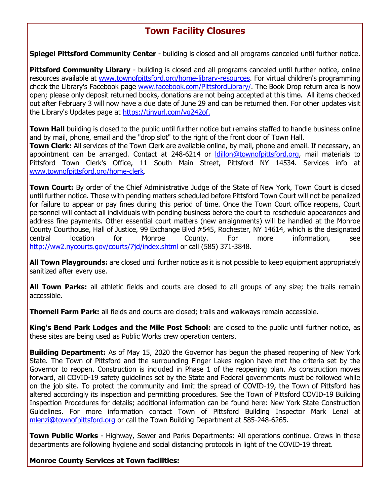## **Town Facility Closures**

**Spiegel Pittsford Community Center** - building is closed and all programs canceled until further notice.

**Pittsford Community Library** - building is closed and all programs canceled until further notice, online resources available at [www.townofpittsford.org/home-library-resources.](http://r20.rs6.net/tn.jsp?f=001DUJ6FRwjb_xmG3qfCp_26UFWkd5gdcAbqqizPuy0SAo_8GaUxzMz_3UXUyaC4E9CYq6fszKRqCLRpPvWn63G-Fwiej3QSXVyFqPoEJ3MXQLCN0f9dO_7Kj1pRXarLXgor27c5TkrBcsnHOaRiSoB3NY3G3lGXdNPsGDDsux-xiduAWm-6OnooyhBMEg0LM05sFJAeZ6McyMm1dHgW5UgHp-e_UAZJ5xY7vE5-h8G1lmYR7bkzZOS0ydcl6QBMSUe-axP_6jdiC-_-LDgrSaE8iY5-DZw9AiFRBPwjoxfLEhhTc6b73oj7QIzBPFYDIDAc6dcLK9_jU0=&c=_H1qwIhdXQC5RrJg5n8OdNMQUeaOPWrULgHMODoVqipE9Z9RRj9MBg==&ch=Qu9bNSkB8DQ8A1FvkyIIgMtAp9r9ofRCi15nif3-IizkMAk12nlsiQ==) For virtual children's programming check the Library's Facebook page [www.facebook.com/PittsfordLibrary/.](http://r20.rs6.net/tn.jsp?f=001DUJ6FRwjb_xmG3qfCp_26UFWkd5gdcAbqqizPuy0SAo_8GaUxzMz_0blgcOuXbtbFr9lRdbchtVZx0Tzc9ngYFIwcXYr2zLtF1K4GzS-UaqIlyKtb8f_T6-EMdF45KNWTSsvaBTik3i3lFbg6NHVEAq7QmOmeU5kHzuWLkZC90d0ylm_2CTF69mqTDu_eszqXWRZ2VuazWI=&c=_H1qwIhdXQC5RrJg5n8OdNMQUeaOPWrULgHMODoVqipE9Z9RRj9MBg==&ch=Qu9bNSkB8DQ8A1FvkyIIgMtAp9r9ofRCi15nif3-IizkMAk12nlsiQ==) The Book Drop return area is now open; please only deposit returned books, donations are not being accepted at this time. All items checked out after February 3 will now have a due date of June 29 and can be returned then. For other updates visit the Library's Updates page at [https://tinyurl.com/vg242of.](http://r20.rs6.net/tn.jsp?f=001DUJ6FRwjb_xmG3qfCp_26UFWkd5gdcAbqqizPuy0SAo_8GaUxzMz_0blgcOuXbtbfyXnoEL7zmObz_DeSjKv_zBc7xVGY8bAFdeWJ-HS_2MbfA-eJeIATLrrl8oinj0XtVYHcFMUnZuAHq5f1-33K4s_8nMs5jOAbigygfxx5TNgGz2X6myumg==&c=_H1qwIhdXQC5RrJg5n8OdNMQUeaOPWrULgHMODoVqipE9Z9RRj9MBg==&ch=Qu9bNSkB8DQ8A1FvkyIIgMtAp9r9ofRCi15nif3-IizkMAk12nlsiQ==)

**Town Hall** building is closed to the public until further notice but remains staffed to handle business online and by mail, phone, email and the "drop slot" to the right of the front door of Town Hall.

**Town Clerk:** All services of the Town Clerk are available online, by mail, phone and email. If necessary, an appointment can be arranged. Contact at 248-6214 or [ldillon@townofpittsford.org,](mailto:ldillon@townofpittsford.org) mail materials to Pittsford Town Clerk's Office, 11 South Main Street, Pittsford NY 14534. Services info at [www.townofpittsford.org/home-clerk.](http://r20.rs6.net/tn.jsp?f=001DUJ6FRwjb_xmG3qfCp_26UFWkd5gdcAbqqizPuy0SAo_8GaUxzMz_3UXUyaC4E9CUxv5kM41r1lnvoDXxUcGHIyhfZUKjJZcC1BJSlCRbsH0a6HXZJE-g4-JqS3tVErz92TEZWtQcSynN7wvnR1rNKjDV9utG16vE420dcnTyCHuebLWa_OqnT7CLk-TuM4rrldjAC52hg8hiGdI8BzNSp4PfGO5Cr2sokHqQRwoYzqom6RJZbCLoCNFTxX3wqj7Mcox0o0Ssg_FF2gjZpkSvUcc76kWGw2180cUxbhcxT94PnqZ8oKVuQ==&c=_H1qwIhdXQC5RrJg5n8OdNMQUeaOPWrULgHMODoVqipE9Z9RRj9MBg==&ch=Qu9bNSkB8DQ8A1FvkyIIgMtAp9r9ofRCi15nif3-IizkMAk12nlsiQ==)

**Town Court:** By order of the Chief Administrative Judge of the State of New York, Town Court is closed until further notice. Those with pending matters scheduled before Pittsford Town Court will not be penalized for failure to appear or pay fines during this period of time. Once the Town Court office reopens, Court personnel will contact all individuals with pending business before the court to reschedule appearances and address fine payments. Other essential court matters (new arraignments) will be handled at the Monroe County Courthouse, Hall of Justice, 99 Exchange Blvd #545, Rochester, NY 14614, which is the designated central location for Monroe County. For more information, see [http://ww2.nycourts.gov/courts/7jd/index.shtml](http://r20.rs6.net/tn.jsp?f=001DUJ6FRwjb_xmG3qfCp_26UFWkd5gdcAbqqizPuy0SAo_8GaUxzMz_-kxThhHRGcFel0LeXlxI9IjK96DmDDp30qPZSK7_4UMdQwbipoLGmV3NH3g7ExsNMljyujVlsiJSr8fuL1E_IPut76VcfONHWc6x_r5t7qhOR-6B8nC4MRrFhCGl1mWg7IbSXVx7rZxl7byst_XlElF1DqUSiSsZfLw0FvsazToYGsHer4DsWXqjV431z5x1UgVMUKGLWgO17HBqm2qQDcZ1V4KYTbTvam8n2JWgEoT5FLGzWH54xtcAq4t5tq23rZIXpFw6VIn&c=_H1qwIhdXQC5RrJg5n8OdNMQUeaOPWrULgHMODoVqipE9Z9RRj9MBg==&ch=Qu9bNSkB8DQ8A1FvkyIIgMtAp9r9ofRCi15nif3-IizkMAk12nlsiQ==) or call (585) 371-3848.

**All Town Playgrounds:** are closed until further notice as it is not possible to keep equipment appropriately sanitized after every use.

**All Town Parks:** all athletic fields and courts are closed to all groups of any size; the trails remain accessible.

**Thornell Farm Park:** all fields and courts are closed; trails and walkways remain accessible.

**King's Bend Park Lodges and the Mile Post School:** are closed to the public until further notice, as these sites are being used as Public Works crew operation centers.

**Building Department:** As of May 15, 2020 the Governor has begun the phased reopening of New York State. The Town of Pittsford and the surrounding Finger Lakes region have met the criteria set by the Governor to reopen. Construction is included in Phase 1 of the reopening plan. As construction moves forward, all COVID-19 safety guidelines set by the State and Federal governments must be followed while on the job site. To protect the community and limit the spread of COVID-19, the Town of Pittsford has altered accordingly its inspection and permitting procedures. See the Town of Pittsford COVID-19 Building Inspection Procedures for details; additional information can be found here: New York State Construction Guidelines. For more information contact Town of Pittsford Building Inspector Mark Lenzi at [mlenzi@townofpittsford.org](mailto:mlenzi@townofpittsford.org?subject=COVID-19%20Construciton%20Information) or call the Town Building Department at 585-248-6265.

**Town Public Works** - Highway, Sewer and Parks Departments: All operations continue. Crews in these departments are following hygiene and social distancing protocols in light of the COVID-19 threat.

**Monroe County Services at Town facilities:**